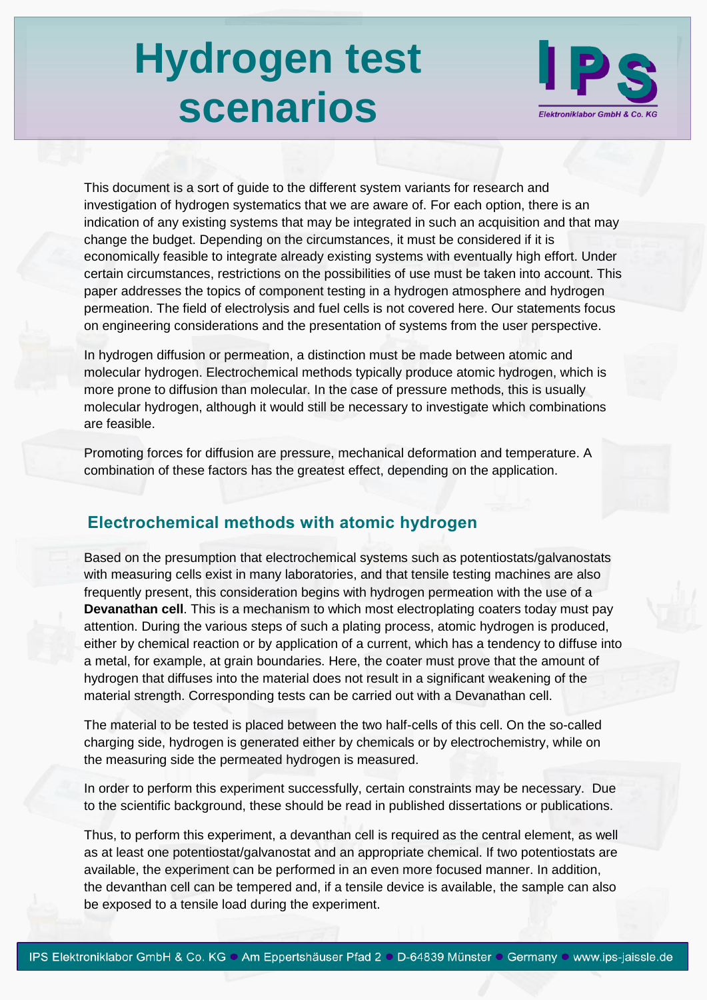# **Hydrogen test scenarios**



This document is a sort of guide to the different system variants for research and investigation of hydrogen systematics that we are aware of. For each option, there is an indication of any existing systems that may be integrated in such an acquisition and that may change the budget. Depending on the circumstances, it must be considered if it is economically feasible to integrate already existing systems with eventually high effort. Under certain circumstances, restrictions on the possibilities of use must be taken into account. This paper addresses the topics of component testing in a hydrogen atmosphere and hydrogen permeation. The field of electrolysis and fuel cells is not covered here. Our statements focus on engineering considerations and the presentation of systems from the user perspective.

In hydrogen diffusion or permeation, a distinction must be made between atomic and molecular hydrogen. Electrochemical methods typically produce atomic hydrogen, which is more prone to diffusion than molecular. In the case of pressure methods, this is usually molecular hydrogen, although it would still be necessary to investigate which combinations are feasible.

Promoting forces for diffusion are pressure, mechanical deformation and temperature. A combination of these factors has the greatest effect, depending on the application.

#### **Electrochemical methods with atomic hydrogen**

Based on the presumption that electrochemical systems such as potentiostats/galvanostats with measuring cells exist in many laboratories, and that tensile testing machines are also frequently present, this consideration begins with hydrogen permeation with the use of a **Devanathan cell**. This is a mechanism to which most electroplating coaters today must pay attention. During the various steps of such a plating process, atomic hydrogen is produced, either by chemical reaction or by application of a current, which has a tendency to diffuse into a metal, for example, at grain boundaries. Here, the coater must prove that the amount of hydrogen that diffuses into the material does not result in a significant weakening of the material strength. Corresponding tests can be carried out with a Devanathan cell.

The material to be tested is placed between the two half-cells of this cell. On the so-called charging side, hydrogen is generated either by chemicals or by electrochemistry, while on the measuring side the permeated hydrogen is measured.

In order to perform this experiment successfully, certain constraints may be necessary. Due to the scientific background, these should be read in published dissertations or publications.

Thus, to perform this experiment, a devanthan cell is required as the central element, as well as at least one potentiostat/galvanostat and an appropriate chemical. If two potentiostats are available, the experiment can be performed in an even more focused manner. In addition, the devanthan cell can be tempered and, if a tensile device is available, the sample can also be exposed to a tensile load during the experiment.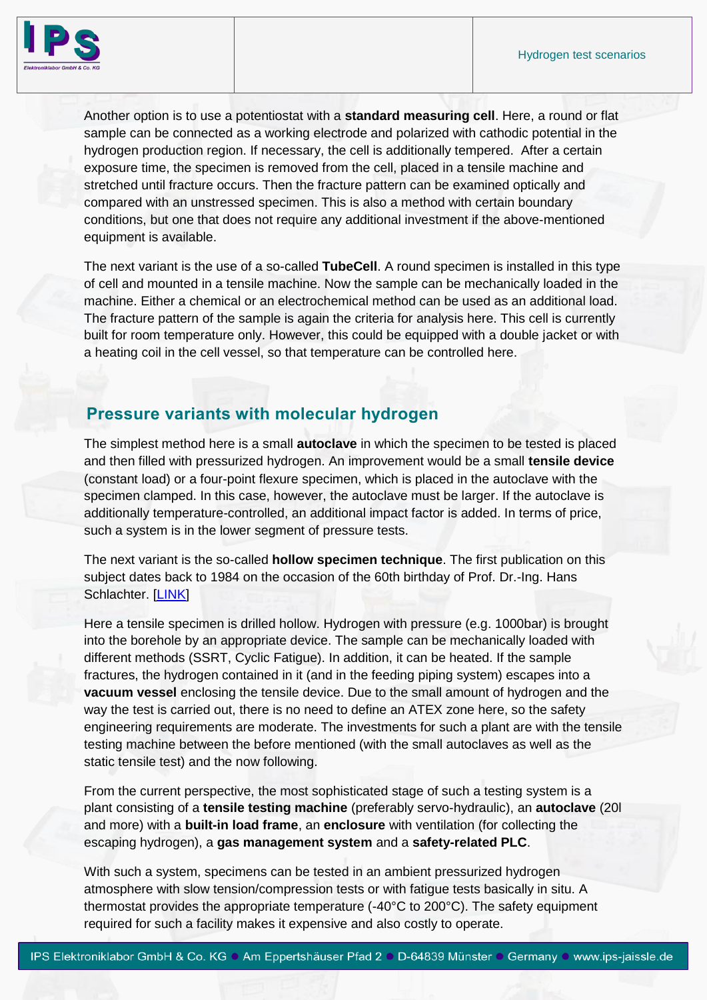

Another option is to use a potentiostat with a **standard measuring cell**. Here, a round or flat sample can be connected as a working electrode and polarized with cathodic potential in the hydrogen production region. If necessary, the cell is additionally tempered. After a certain exposure time, the specimen is removed from the cell, placed in a tensile machine and stretched until fracture occurs. Then the fracture pattern can be examined optically and compared with an unstressed specimen. This is also a method with certain boundary conditions, but one that does not require any additional investment if the above-mentioned equipment is available.

The next variant is the use of a so-called **TubeCell**. A round specimen is installed in this type of cell and mounted in a tensile machine. Now the sample can be mechanically loaded in the machine. Either a chemical or an electrochemical method can be used as an additional load. The fracture pattern of the sample is again the criteria for analysis here. This cell is currently built for room temperature only. However, this could be equipped with a double jacket or with a heating coil in the cell vessel, so that temperature can be controlled here.

## **Pressure variants with molecular hydrogen**

The simplest method here is a small **autoclave** in which the specimen to be tested is placed and then filled with pressurized hydrogen. An improvement would be a small **tensile device** (constant load) or a four-point flexure specimen, which is placed in the autoclave with the specimen clamped. In this case, however, the autoclave must be larger. If the autoclave is additionally temperature-controlled, an additional impact factor is added. In terms of price, such a system is in the lower segment of pressure tests.

The next variant is the so-called **hollow specimen technique**. The first publication on this subject dates back to 1984 on the occasion of the 60th birthday of Prof. Dr.-Ing. Hans Schlachter. [\[LINK\]](https://onlinelibrary.wiley.com/doi/epdf/10.1002/mawe.19840150508)

Here a tensile specimen is drilled hollow. Hydrogen with pressure (e.g. 1000bar) is brought into the borehole by an appropriate device. The sample can be mechanically loaded with different methods (SSRT, Cyclic Fatigue). In addition, it can be heated. If the sample fractures, the hydrogen contained in it (and in the feeding piping system) escapes into a **vacuum vessel** enclosing the tensile device. Due to the small amount of hydrogen and the way the test is carried out, there is no need to define an ATEX zone here, so the safety engineering requirements are moderate. The investments for such a plant are with the tensile testing machine between the before mentioned (with the small autoclaves as well as the static tensile test) and the now following.

From the current perspective, the most sophisticated stage of such a testing system is a plant consisting of a **tensile testing machine** (preferably servo-hydraulic), an **autoclave** (20l and more) with a **built-in load frame**, an **enclosure** with ventilation (for collecting the escaping hydrogen), a **gas management system** and a **safety-related PLC**.

With such a system, specimens can be tested in an ambient pressurized hydrogen atmosphere with slow tension/compression tests or with fatigue tests basically in situ. A thermostat provides the appropriate temperature (-40°C to 200°C). The safety equipment required for such a facility makes it expensive and also costly to operate.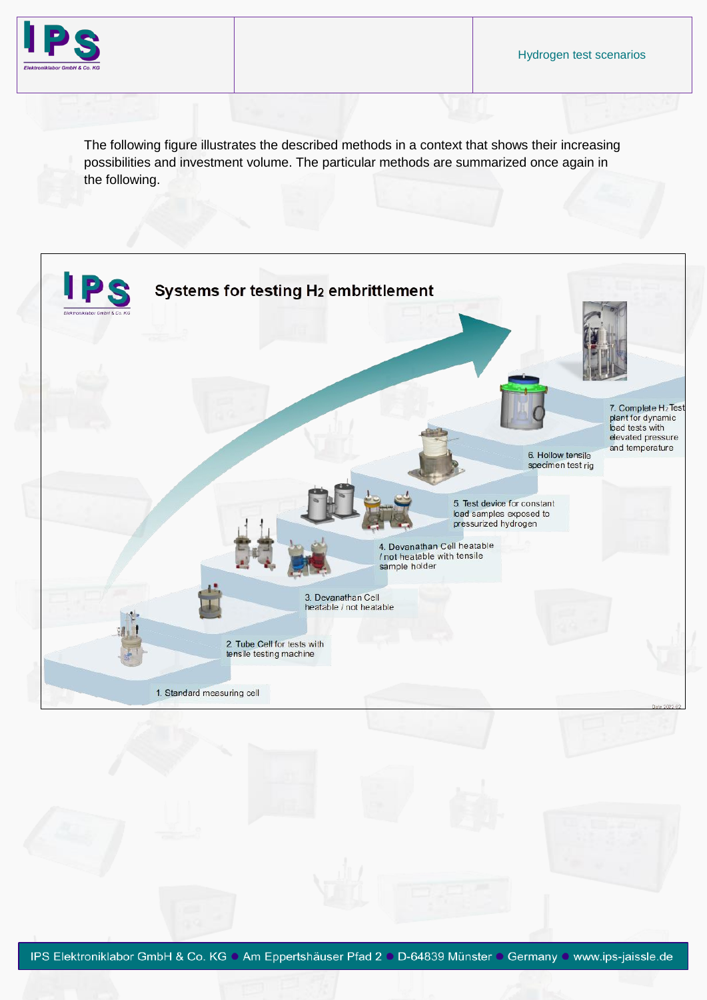

The following figure illustrates the described methods in a context that shows their increasing possibilities and investment volume. The particular methods are summarized once again in the following.

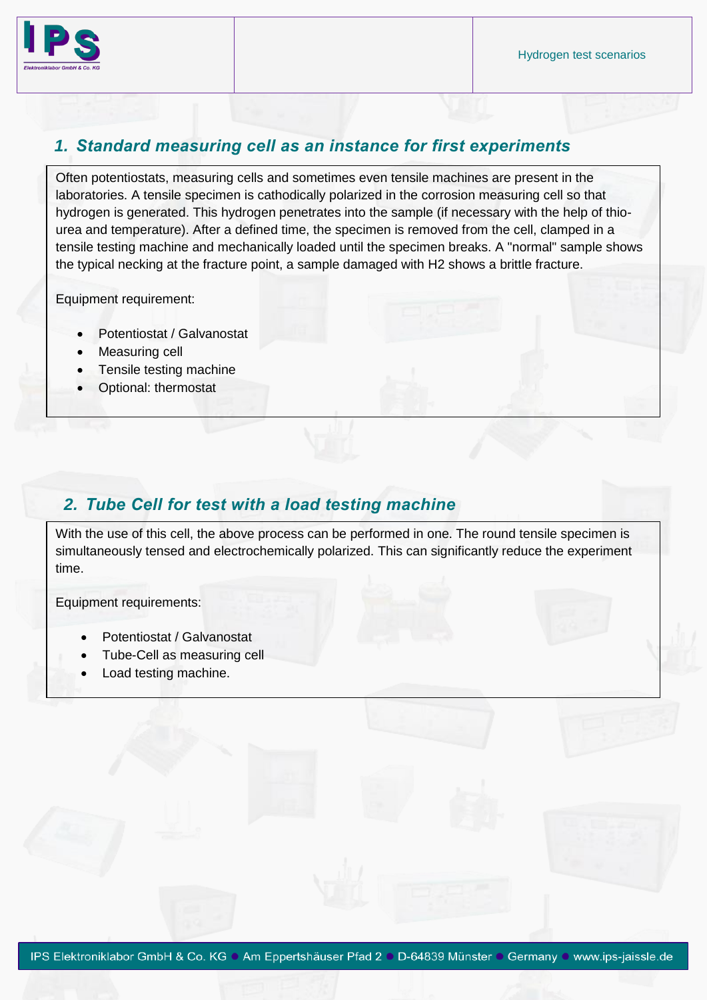

#### *1. Standard measuring cell as an instance for first experiments*

Often potentiostats, measuring cells and sometimes even tensile machines are present in the laboratories. A tensile specimen is cathodically polarized in the corrosion measuring cell so that hydrogen is generated. This hydrogen penetrates into the sample (if necessary with the help of thiourea and temperature). After a defined time, the specimen is removed from the cell, clamped in a tensile testing machine and mechanically loaded until the specimen breaks. A "normal" sample shows the typical necking at the fracture point, a sample damaged with H2 shows a brittle fracture.

Equipment requirement:

- Potentiostat / Galvanostat
- Measuring cell
- Tensile testing machine
- Optional: thermostat

# *2. Tube Cell for test with a load testing machine*

With the use of this cell, the above process can be performed in one. The round tensile specimen is simultaneously tensed and electrochemically polarized. This can significantly reduce the experiment time.

Equipment requirements:

- Potentiostat / Galvanostat
- Tube-Cell as measuring cell
- Load testing machine.

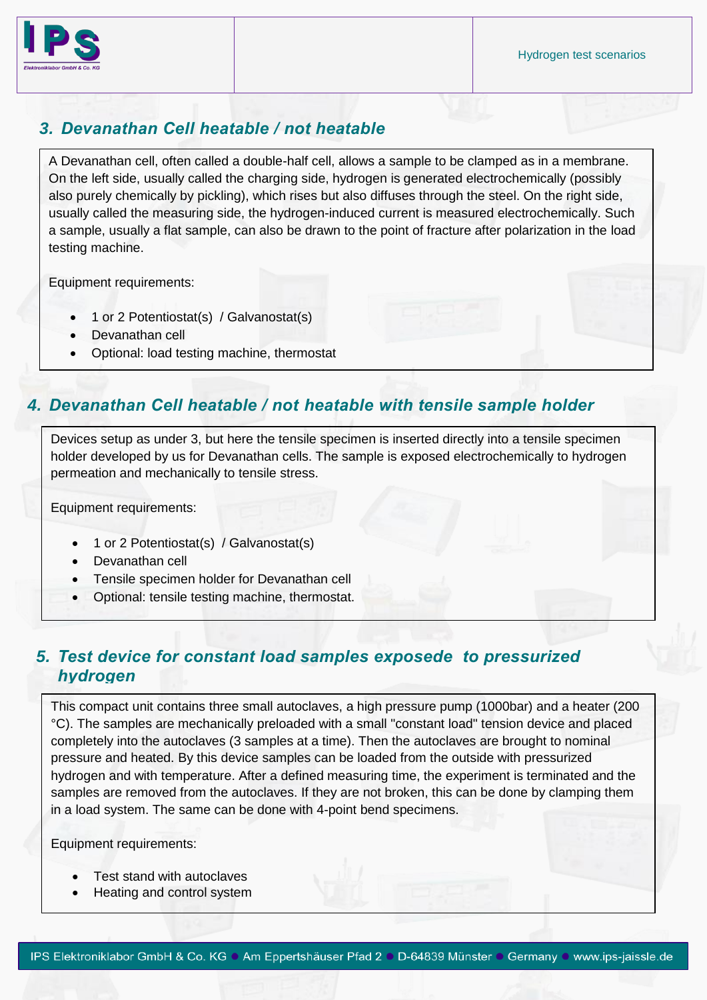

## *3. Devanathan Cell heatable / not heatable*

A Devanathan cell, often called a double-half cell, allows a sample to be clamped as in a membrane. On the left side, usually called the charging side, hydrogen is generated electrochemically (possibly also purely chemically by pickling), which rises but also diffuses through the steel. On the right side, usually called the measuring side, the hydrogen-induced current is measured electrochemically. Such a sample, usually a flat sample, can also be drawn to the point of fracture after polarization in the load testing machine.

Equipment requirements:

- 1 or 2 Potentiostat(s) / Galvanostat(s)
- Devanathan cell
- Optional: load testing machine, thermostat

# *4. Devanathan Cell heatable / not heatable with tensile sample holder*

Devices setup as under 3, but here the tensile specimen is inserted directly into a tensile specimen holder developed by us for Devanathan cells. The sample is exposed electrochemically to hydrogen permeation and mechanically to tensile stress.

Equipment requirements:

- 1 or 2 Potentiostat(s) / Galvanostat(s)
- Devanathan cell
- Tensile specimen holder for Devanathan cell
- Optional: tensile testing machine, thermostat.

# *5. Test device for constant load samples exposede to pressurized hydrogen*

This compact unit contains three small autoclaves, a high pressure pump (1000bar) and a heater (200 °C). The samples are mechanically preloaded with a small "constant load" tension device and placed completely into the autoclaves (3 samples at a time). Then the autoclaves are brought to nominal pressure and heated. By this device samples can be loaded from the outside with pressurized hydrogen and with temperature. After a defined measuring time, the experiment is terminated and the samples are removed from the autoclaves. If they are not broken, this can be done by clamping them in a load system. The same can be done with 4-point bend specimens.

Equipment requirements:

- Test stand with autoclaves
- Heating and control system